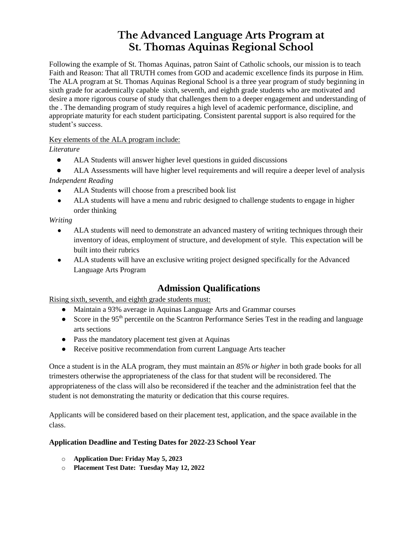## **The Advanced Language Arts Program at St. Thomas Aquinas Regional School**

Following the example of St. Thomas Aquinas, patron Saint of Catholic schools, our mission is to teach Faith and Reason: That all TRUTH comes from GOD and academic excellence finds its purpose in Him. The ALA program at St. Thomas Aquinas Regional School is a three year program of study beginning in sixth grade for academically capable sixth, seventh, and eighth grade students who are motivated and desire a more rigorous course of study that challenges them to a deeper engagement and understanding of the . The demanding program of study requires a high level of academic performance, discipline, and appropriate maturity for each student participating. Consistent parental support is also required for the student's success.

### Key elements of the ALA program include:

*Literature* 

- ALA Students will answer higher level questions in guided discussions
- ALA Assessments will have higher level requirements and will require a deeper level of analysis *Independent Reading* 
	- ALA Students will choose from a prescribed book list
	- ALA students will have a menu and rubric designed to challenge students to engage in higher order thinking

#### *Writing*

- ALA students will need to demonstrate an advanced mastery of writing techniques through their inventory of ideas, employment of structure, and development of style. This expectation will be built into their rubrics
- ALA students will have an exclusive writing project designed specifically for the Advanced Language Arts Program

### **Admission Qualifications**

Rising sixth, seventh, and eighth grade students must:

- Maintain a 93% average in Aquinas Language Arts and Grammar courses
- Score in the  $95<sup>th</sup>$  percentile on the Scantron Performance Series Test in the reading and language arts sections
- Pass the mandatory placement test given at Aquinas
- Receive positive recommendation from current Language Arts teacher

Once a student is in the ALA program, they must maintain an *85% or higher* in both grade books for all trimesters otherwise the appropriateness of the class for that student will be reconsidered. The appropriateness of the class will also be reconsidered if the teacher and the administration feel that the student is not demonstrating the maturity or dedication that this course requires.

Applicants will be considered based on their placement test, application, and the space available in the class.

### **Application Deadline and Testing Dates for 2022-23 School Year**

- o **Application Due: Friday May 5, 2023**
- o **Placement Test Date: Tuesday May 12, 2022**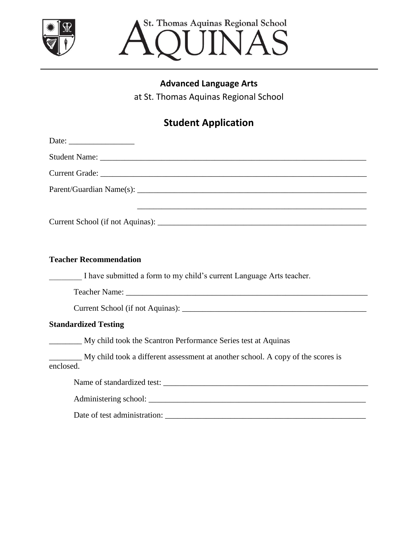

St. Thomas Aquinas Regional School UINAS

## **Advanced Language Arts**

at St. Thomas Aquinas Regional School

# **Student Application**

| Date: $\frac{1}{\sqrt{1-\frac{1}{2}}\sqrt{1-\frac{1}{2}}\sqrt{1-\frac{1}{2}}\sqrt{1-\frac{1}{2}}\sqrt{1-\frac{1}{2}}\sqrt{1-\frac{1}{2}}\sqrt{1-\frac{1}{2}}\sqrt{1-\frac{1}{2}}\sqrt{1-\frac{1}{2}}\sqrt{1-\frac{1}{2}}\sqrt{1-\frac{1}{2}}\sqrt{1-\frac{1}{2}}\sqrt{1-\frac{1}{2}}\sqrt{1-\frac{1}{2}}\sqrt{1-\frac{1}{2}}\sqrt{1-\frac{1}{2}}\sqrt{1-\frac{1}{2}}\sqrt{1-\frac{1}{2}}\sqrt{1-\frac{1}{2}}$ |
|---------------------------------------------------------------------------------------------------------------------------------------------------------------------------------------------------------------------------------------------------------------------------------------------------------------------------------------------------------------------------------------------------------------|
|                                                                                                                                                                                                                                                                                                                                                                                                               |
|                                                                                                                                                                                                                                                                                                                                                                                                               |
|                                                                                                                                                                                                                                                                                                                                                                                                               |
| ,我们也不会有什么。""我们的人,我们也不会有什么?""我们的人,我们也不会有什么?""我们的人,我们也不会有什么?""我们的人,我们也不会有什么?""我们的人                                                                                                                                                                                                                                                                                                                              |
| <b>Teacher Recommendation</b>                                                                                                                                                                                                                                                                                                                                                                                 |
| I have submitted a form to my child's current Language Arts teacher.                                                                                                                                                                                                                                                                                                                                          |
|                                                                                                                                                                                                                                                                                                                                                                                                               |
|                                                                                                                                                                                                                                                                                                                                                                                                               |
| <b>Standardized Testing</b>                                                                                                                                                                                                                                                                                                                                                                                   |
| My child took the Scantron Performance Series test at Aquinas                                                                                                                                                                                                                                                                                                                                                 |
| My child took a different assessment at another school. A copy of the scores is<br>enclosed.                                                                                                                                                                                                                                                                                                                  |
|                                                                                                                                                                                                                                                                                                                                                                                                               |
|                                                                                                                                                                                                                                                                                                                                                                                                               |
|                                                                                                                                                                                                                                                                                                                                                                                                               |
|                                                                                                                                                                                                                                                                                                                                                                                                               |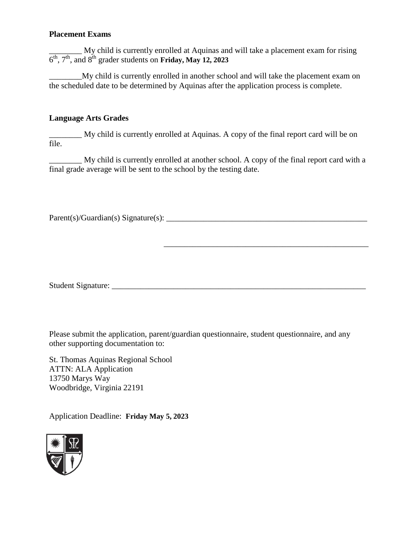### **Placement Exams**

\_\_\_\_\_\_\_\_ My child is currently enrolled at Aquinas and will take a placement exam for rising  $6<sup>th</sup>$ ,  $7<sup>th</sup>$ , and  $8<sup>th</sup>$  grader students on **Friday, May 12, 2023** 

\_\_\_\_\_\_\_\_My child is currently enrolled in another school and will take the placement exam on the scheduled date to be determined by Aquinas after the application process is complete.

### **Language Arts Grades**

\_\_\_\_\_\_\_\_ My child is currently enrolled at Aquinas. A copy of the final report card will be on file.

\_\_\_\_\_\_\_\_ My child is currently enrolled at another school. A copy of the final report card with a final grade average will be sent to the school by the testing date.

Parent(s)/Guardian(s) Signature(s): \_\_\_\_\_\_\_\_\_\_\_\_\_\_\_\_\_\_\_\_\_\_\_\_\_\_\_\_\_\_\_\_\_\_\_\_\_\_\_\_\_\_\_\_\_\_\_\_\_

Student Signature: \_\_\_\_\_\_\_\_\_\_\_\_\_\_\_\_\_\_\_\_\_\_\_\_\_\_\_\_\_\_\_\_\_\_\_\_\_\_\_\_\_\_\_\_\_\_\_\_\_\_\_\_\_\_\_\_\_\_\_\_\_\_

\_\_\_\_\_\_\_\_\_\_\_\_\_\_\_\_\_\_\_\_\_\_\_\_\_\_\_\_\_\_\_\_\_\_\_\_\_\_\_\_\_\_\_\_\_\_\_\_\_\_

Please submit the application, parent/guardian questionnaire, student questionnaire, and any other supporting documentation to:

St. Thomas Aquinas Regional School ATTN: ALA Application 13750 Marys Way Woodbridge, Virginia 22191

Application Deadline: **Friday May 5, 2023**

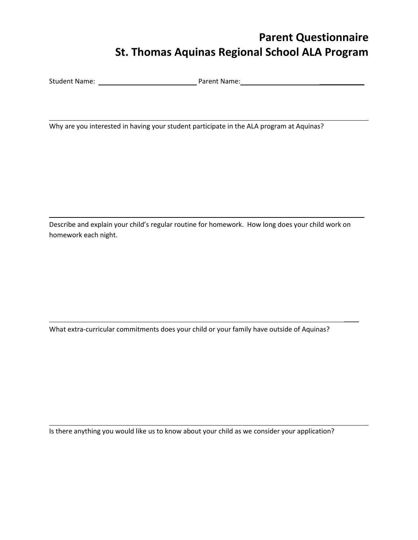# **Parent Questionnaire St. Thomas Aquinas Regional School ALA Program**

\_\_\_\_\_\_\_\_\_\_\_\_

 $\overline{\phantom{a}}$ 

Student Name: Parent Name: \_\_\_\_\_\_\_\_\_\_\_\_

Why are you interested in having your student participate in the ALA program at Aquinas?

Describe and explain your child's regular routine for homework. How long does your child work on homework each night.

What extra-curricular commitments does your child or your family have outside of Aquinas?

Is there anything you would like us to know about your child as we consider your application?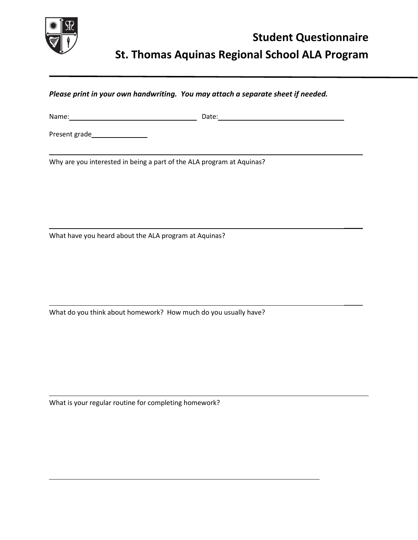

 $\overline{\phantom{a}}$ 

 $\overline{\phantom{a}}$ 

 $\overline{\phantom{a}}$ 

*Please print in your own handwriting. You may attach a separate sheet if needed.*

Name: Date:

Present grade **Notainable** 

Why are you interested in being a part of the ALA program at Aquinas?

What have you heard about the ALA program at Aquinas?

What do you think about homework? How much do you usually have?

What is your regular routine for completing homework?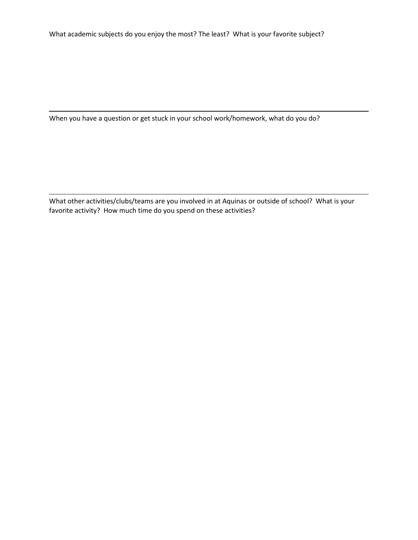What academic subjects do you enjoy the most? The least? What is your favorite subject?

When you have a question or get stuck in your school work/homework, what do you do?

What other activities/clubs/teams are you involved in at Aquinas or outside of school? What is your favorite activity? How much time do you spend on these activities?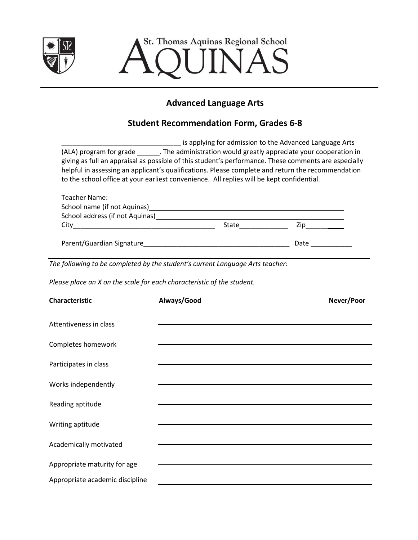

St. Thomas Aquinas Regional School INAS

## **Advanced Language Arts**

### **Student Recommendation Form, Grades 6-8**

| is applying for admission to the Advanced Language Arts                                              |  |  |  |  |
|------------------------------------------------------------------------------------------------------|--|--|--|--|
| (ALA) program for grade<br>. The administration would greatly appreciate your cooperation in         |  |  |  |  |
| giving as full an appraisal as possible of this student's performance. These comments are especially |  |  |  |  |
| helpful in assessing an applicant's qualifications. Please complete and return the recommendation    |  |  |  |  |
| to the school office at your earliest convenience. All replies will be kept confidential.            |  |  |  |  |

| Teacher Name:                   |       |      |  |
|---------------------------------|-------|------|--|
|                                 |       |      |  |
| School address (if not Aquinas) |       |      |  |
| City                            | State | Zip  |  |
|                                 |       |      |  |
| Parent/Guardian Signature       |       | Date |  |

*The following to be completed by the student's current Language Arts teacher:*

*Please place an X on the scale for each characteristic of the student.*

| <b>Characteristic</b>           | Always/Good | Never/Poor |
|---------------------------------|-------------|------------|
| Attentiveness in class          |             |            |
| Completes homework              |             |            |
| Participates in class           |             |            |
| Works independently             |             |            |
| Reading aptitude                |             |            |
| Writing aptitude                |             |            |
| Academically motivated          |             |            |
| Appropriate maturity for age    |             |            |
| Appropriate academic discipline |             |            |